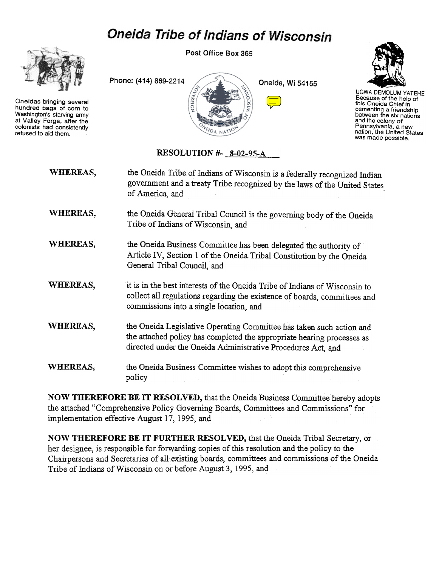# **Oneida Tribe of Indians of Wisconsin**



Oneidas bringing several hundred bags of corn to Washington's starving army at Valley Forge, after the colonists had consistently refused to aid them.

Post Office Box 365





UGWA DEMOLUM YATEHE Because of the help of this Oneida Chief in cementing a friendshij<br>between the six nation and the colony of Pennsylvania, a new nation, the United States was made possible.

## RESOLUTION #- 8-02-95-A

| <b>WHEREAS,</b> | the Oneida Tribe of Indians of Wisconsin is a federally recognized Indian<br>government and a treaty Tribe recognized by the laws of the United States<br>of America, and                                      |
|-----------------|----------------------------------------------------------------------------------------------------------------------------------------------------------------------------------------------------------------|
| WHEREAS,        | the Oneida General Tribal Council is the governing body of the Oneida<br>Tribe of Indians of Wisconsin, and                                                                                                    |
| WHEREAS,        | the Oneida Business Committee has been delegated the authority of<br>Article IV, Section 1 of the Oneida Tribal Constitution by the Oneida<br>General Tribal Council, and                                      |
| <b>WHEREAS,</b> | it is in the best interests of the Oneida Tribe of Indians of Wisconsin to<br>collect all regulations regarding the existence of boards, committees and<br>commissions into a single location, and             |
| WHEREAS,        | the Oneida Legislative Operating Committee has taken such action and<br>the attached policy has completed the appropriate hearing processes as<br>directed under the Oneida Administrative Procedures Act, and |
| <b>WHEREAS,</b> | the Oneida Business Committee wishes to adopt this comprehensive<br>policy                                                                                                                                     |

NOW THEREFORE BE IT RESOLVED, that the Oneida Business Committee hereby adopts the attached "Comprehensive Policy Governing Boards, Committees and Commissions" for implementation effective August 17, 1995, and

NOW THEREFORE BE IT FURTHER RESOLVED, that the Oneida Tribal Secretary, or her designee, is responsible for forwarding copies of this resolution and the policy to the Chairpersons and Secretaries of all existing boards, committees and commissions of the Oneida Tribe of Indians of Wisconsin on or before August 3, 1995, and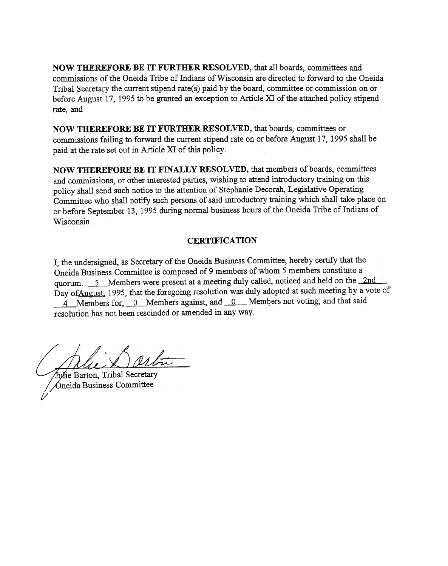NOW THEREFORE BE IT FURTHER RESOLVED, that all boards, committees and commissions of the Oneida Tribe of Indians of Wisconsin are directed to forward to the Oneida Tribal Secretary the current stipend rate(s) paid by the board, committee or commission on or before August 17, 1995 to be granted an exception to Article XI of the attached policy stipend rate, and

NOW THEREFORE BE IT FURTHER RESOLVED, that boards, committees or commissions failing to forward the current stipend rate on or before August 17, 1995 shall be paid at the rate set out in Article XI of this policy.

NOW THEREFORE BE IT FINALLY RESOLVED, that members of boards, committees and commissions, or other interested parties, wishing to attend introductory training on this policy shall send such notice to the attention of Stephanie Decorah, Legislative Operating Committee who shall notify such persons of said introductory training which shall take place on or before September 13, 1995 during normal business hours of the Oneida Tribe of Indians of Wisconsin.

## **CERTIFICATION**

I, the undersigned, as Secretary of the Oneida Business Committee, hereby certify that the Oneida Business Committee is composed of 9 members of whom 5 members constitute a quorum. 5 Members were present at a meeting duly called, noticed and held on the 2nd Day of August, 1995, that the foregoing resolution was duly adopted at such meeting by a vote of 4 Members for; 0 Members against, and 0 Members not voting; and that said resolution has not been rescinded or amended in any way.

iulie Barton, Tribal Secretary  $\Delta$ neida Business Committee  $\mathcal{V}$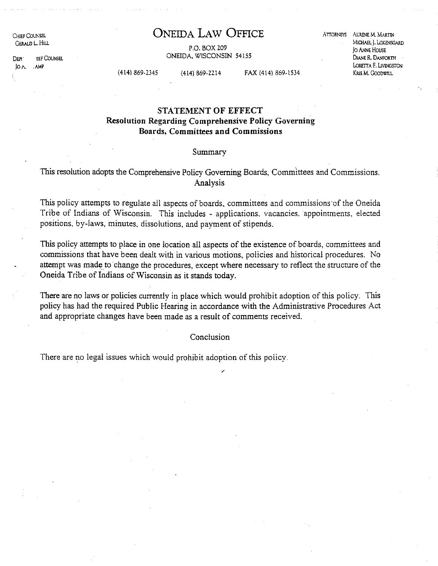CHIEF COUNSEL GElW.D L HIlJ.

DEPI<sup>'</sup> ! !EF COUNSEL  $JO \wedge$  . AMP

## **ONEIDA LAW OFFICE**

ATTORNEYS AURENE M. MARTIN

P.O. BOX 209 ONEIDA. WISCONSIN 54155

MICHAEL J. LOKENSOARD jo ANNE HOUSE DIANE R. DANFORTH LORETTA F. LIVINGSTON KRIS M. GOODWILL

(414) 869·2345 (414) 869·2214 FAX (414) 869·1534

## **STATEMENT OF EFFECT Resolution Regarding Comprehensive Policy Governing Boards, Committees and Commissions**

#### Summary

### This resolution adopts the Comprehensive Policy Governing Boards, Committees and Commissions. Analysis

This policy attempts to regulate all aspects of boards, committees and commissions'of the Oneida Tribe of Indians of Wisconsin. This includes - applications. vacancies. appointments. elected positions, by-laws, minutes, dissolutions, and payment of stipends.

This policy attempts to place in one location all aspects of the existence of boards, committees and commissions that have been dealt with in various motions, policies and historical procedures. No attempt was made to' change the procedures, except where necessary to reflect the structure of the Oneida Tribe of Indians of Wisconsin as it stands today.

There are no laws or policies currently in place which would prohibit adoption of this policy. This policy has had the required Public Hearing in accordance with the Administrative Procedures Act and appropriate changes have been made as a result of comments received.

**Conclusion** 

There are no legal issues which would prohibit adoption of this policy.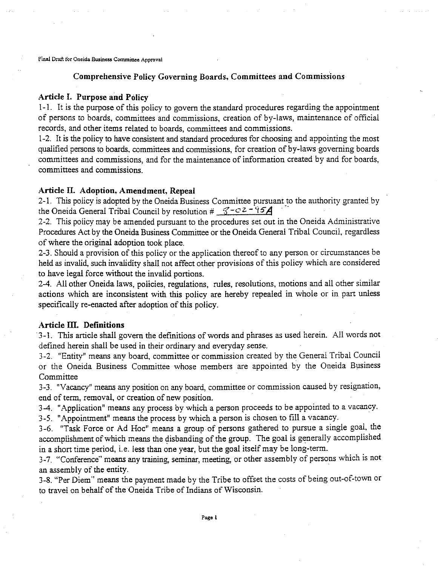#### Comprehensive Policy Governing Boards, Committees and Commissions

#### Article I. Purpose and Policy

1-1. It is the purpose of this policy to govern the standard procedures regarding the appointment of persons to boards, committees and commissions, creation of by-laws, maintenance of official records, and other items related to boards, committees and commissions.

1-2. It is the policy to have consistent and standard procedures for choosing and appointing the most qualified persons to boards, committees and commissions, for creation of by-laws governing boards committees and commissions, and for the maintenance of information created by and for boards, committees and commissions.

#### Article II. Adoption, Amendment, Repeal

2-1. This policy is adopted by the Oneida Business Committee pursuant to the authority granted by the Oneida General Tribal Council by resolution  $\#\sqrt{3-c^2-95}$ 

2-2. This policy may be amended pursuant to the procedures set out in the Oneida Administrative Procedures Act by the Oneida Business Committee or the Oneida General Tribal Council, regardless of where the original adoption took place.

2-3. Should a provision of this policy or the application thereof to any person or circumstances be held as invalid, such invalidity shall not affect other provisions of this policy which are considered to have legal force without the invalid portions.

2-4. All other Oneida laws, policies, regulations, rules, resolutions, motions and all other similar actions which are inconsistent with this policy are hereby repealed in whole or in part unless specifically re-enacted after adoption of this policy.

#### Article III. Definitions

3-1. This article shall govern the definitions of words and phrases as used herein. All words not defined herein shall be used in their ordinary and everyday sense.

3-2. "Entity" means any board, committee or commission created by the General Tribal Council or the Oneida Business Committee whose members are appointed by the Oneida Business Committee

3-3. "Vacancy" means any position on any board, committee or commission caused by resignation, end of term, removal, or creation of new position.

3-4. "Application" means any process by which a person proceeds to be appointed to a vacancy.

3-5. "Appointment" means the process by which a person is chosen to fill a vacancy.

3-6. "Task Force or Ad Hoc" means a group of persons gathered to pursue a single goal, the accomplishment of which means the disbanding of the group. The goal is generally accomplished in a short time period, i.e. less than one *year,* but the goal itself may be long-term.

3-7. "Conference" means any training, seminar, meeting, or other assembly of persons which is not an assembly of the entity.

3-8. "Per Diem" means the payment made by the Tribe to offset the costs of being out-of-town or to travel on behalf of the Oneida Tribe of Indians of Wisconsin.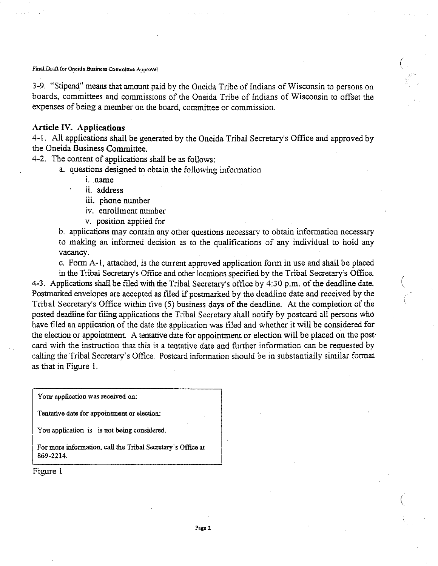3-9. "Stipend" means that amount paid by the Oneida Tribe of Indians of Wisconsin to persons on boards, committees and commissions of the Oneida Tribe of Indians of Wisconsin to offset the expenses of being a member on the board, committee or commission.

(

(

#### **Article IV. Applications**

4-1. All applications shall be generated by the Oneida Tribal Secretary's Office and approved by the Oneida Business Committee.

4-2. The content of applications shall be as follows:

a. questions designed to obtain the following information

- i. name
- ii. address
	- iii. phone number
	- iv. enrollment number
	- *v.* position applied for

b. applications may contain any other questions necessary to obtain information necessary to making an informed decision as to the qualifications of any. individual to hold any vacancy.

c. Form A-I, attached, is the current approved application form in use and shall be placed

in the Tribal Secretary's Office and other locations specified by the Tribal Secretary's Office. 4-3. Applications shall be filed with the Tribal Secretary's office by  $4:30$  p.m. of the deadline date. Postmarked envelopes are accepted as filed if postmarked by the deadline date and received by the Tribal Secretary's Office within five (5) business days of the deadline. At the completion of the posted deadline for filing applications the Tribal Secretary shall notify by postcard all persons who have filed an application of the date the application was filed and whether it will be considered for the election or appointment. A tentative date for appointment or election will be placed on the postcard with the instruction that this is a tentative date and further information can be requested by calling the Tribal Secretary's Office. Postcard information should be in substantially similar format as that in Figure I.

Your application was received on:

Tentative date for appointment or election:

You application is is not being considered.

For more information, call the Tribal Secretary's Office at I 869-2214.

Figure I

I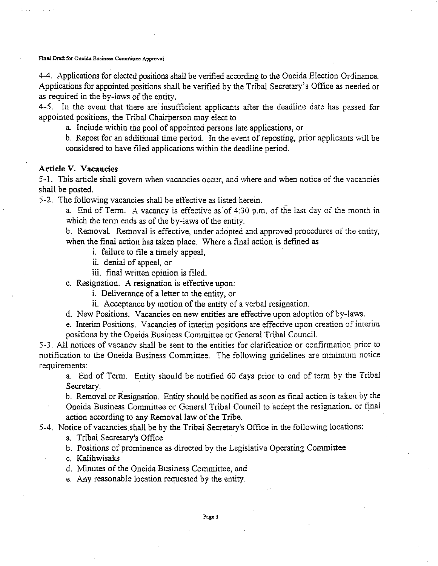4-4. Applications for elected positions shall be verified according to the Oneida Election Ordinance. Applications for appointed positions shall be verified by the Tribal Secretary's Office as needed or as required in the by-laws of the entity.

4-5. In the event that there are insufficient applicants after the deadline date has passed for appointed positions, the Tribal Chairperson may elect to

a. Include within the pool of appointed persons late applications, or

b. Repost for an additional time period. In the event of reposting, prior applicants will be considered to have filed applications within the deadline period.

#### **Article V. Vacancies**

5-1. This article shall govern when vacancies occur, and where and when notice of the vacancies shall be posted.

5-2. The following vacancies shall be effective as listed herein.

a. End of Term. A vacancy is effective as of 4:30 p.m. of the last day of the month in which the term ends as of the by-laws of the entity.

b. Removal. Removal is effective, under adopted and approved procedures of the entity, when the final action has taken place. Where a final action is defined as

- i. failure to file a timely appeal,
- ii, denial of appeal, or

iii. final written opinion is filed.

c. Resignation. A resignation is effective upon:

i. Deliverance of a letter to the entity, or

- ii. Acceptance by motion of the entity of a verbal resignation.
- d. New Positions. Vacancies on new entities are effective upon adoption of by-laws.
- e. Interim Positions. Vacancies of interim positions are effective upon creation of interim positions by the Oneida Business Committee or General Tribal Council.

5-3. All notices of vacancv shall be sent to the entities for clarification or confirmation prior to notification to the Oneida Business Committee. The following guidelines are minimum notice requirements:

a. End of Term. Entity should be notified 60 days prior to end of term by the Tribal Secretary.

b. Removal or Resignation. Entity should be notified as soon as final action is taken by the Oneida Business Committee or General Tribal Council to accept the resignation, or final action according to any Removal law of the Tribe.

5-4. Notice of vacancies shall be by the Tribal Secretary's Office in the following locations:

a. Tribal Secretary's Office

b. Positions of prominence as directed by the Legislative Operating Committee

c. Kalihwisaks

d. Minutes of the Oneida Business Committee, and

e. Any reasonable location requested by the entity.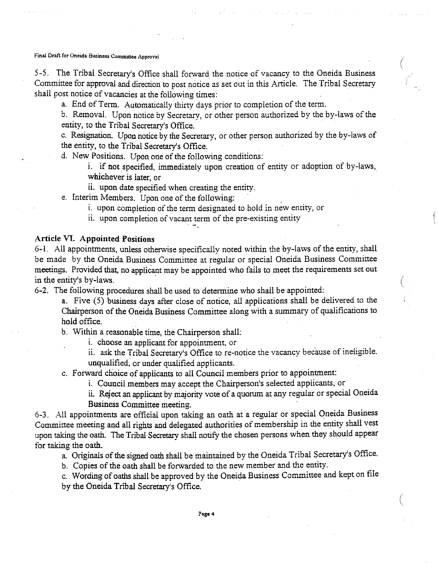5-5. The Tribal Secretary's Office shall forward the notice of vacancy to the Oneida Business Committee for approval and direction to post notice as set out in this Article. The Tribal Secretary shall post notice of vacancies at the following times:

a. End of Term. Automatically thirty days prior to completion of the term.

b. Removal. Upon notice by Secretary, or other person authorized by the by-laws of the entity, to the Tribal Secretary's Office.

c. Resignation. Upon notice by the Secretary, or other person authorized by the by-laws of the entity, to the Tribal Secretary's Office.

d. New Positions. Upon one of the following conditions:

i. if not specified, immediately upon creation of entity or adoption of by-laws, whichever is later, or

(

(

(

ii. upon date specified when creating the entity.

e. Interim Members. Upon one of the following:

i. upon completion of the term designated to hold in new entity, or

ii. upon completion of vacant term of the pre-existing entity

#### Article VI. Appointed Positions

6-1. AH appointments, unless otherwise specifically noted within the by-laws ofthe entity, shall be made by the Oneida Business Committee at regular or special Oneida Business Committee meetings. Provided that, no applicant may be appointed who fails to meet the requirements set out in the entity's by-laws. '

6-2. The following procedures shall be used to determine who shall be appointed:

a. Five (5) business days after close of notice, all applications shall be delivered to the Chairperson of the Oneida Business Committee along with a summary of qualifications to hold office. Next y-laws.<br>
y-laws.<br>
y-laws.<br>
wing procedures shall be used to determine who shall be appointed:<br>
e (5) business days after close of notice, all applications shall be delivered to<br>
rson of the Oneida Business Committee a

b. Within a reasonable time, the Chairperson shall:

i. choose an applicant for appointment, or

ii. ask the Tribal Secretary's Office to re-notice the vacancv because of ineligible.

c. Forward choice of applicants to all Council members prior to appointment:

i. Council members may accept the Chairperson's selected applicants, or

ii. Reject an applicant by majority vote of a quorum at any regular or special Oneida Business Committee meeting.

6-3. AH appointments are official upon taking an oath at a regular or special Oneida Business Committee meeting and all rights and delegated authorities of membership in the entity shall vest upon taking the oath. The Tribal Secretary shall notify the chosen persons when they should appear for taking the oath.

a. Originals of the signed oath shall be maintained by the Oneida Tribal Secretary's Office.

b. Copies of the oath shall be forwarded to the new member and the entity.

c. Wording of oaths shall be approved by the Oneida Business Committee and kept on file by the Oneida Tribal Secretary's Office.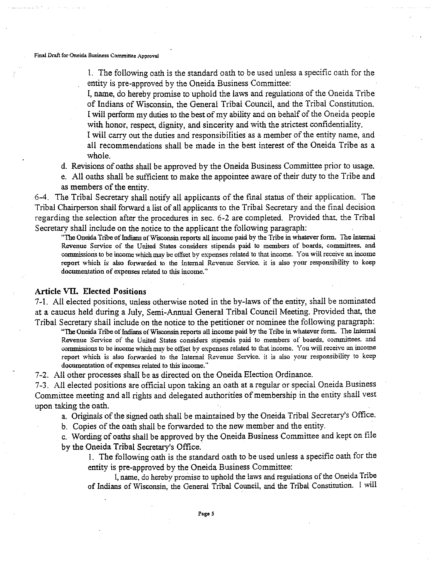1. The following oath is the standard oath to be used unless a specific oath for the entity is pre-approved by the Oneida Business Committee:

I, name, do hereby promise to uphold the laws and regulations of the Oneida Tribe of Indians of Wisconsin, the General Tribal Council, and the Tribal Constitution. I will perform my duties to the best of my ability and on behalf of the Oneida people with honor, respect, dignity, and sincerity and with the strictest confidentiality.

I will carry out the duties and responsibilities as a member of the entity name, and all recommendations shall be made in the best interest of the Oneida Tribe as a whole.

d. Revisions of oaths shall be approved by the Oneida Business Committee prior to usage.

e. All oaths shall be sufficient to make the appointee aware oftheir duty to the Tribe and as members of the entity.

6-4. The Tribal Secretary shall notify all applicants of the final status of their application. The Tribal Chairperson shall forward a listof all applicants to the Tribal Secretary and the final decision regarding the selection after the procedures in sec. 6-2 are completed. Provided that. the Tribal Secretary shall include on the notice to the applicant the following paragraph:

"The Oneida Tribe of Indiansof WISCOnsin reports all income paid by the Tribe in whatever form. The Internal Revenue Service of the United States considers stipends paid to members of boards, committees, and commissions to be income which may be offset by expenses related to that income. You will receive an income report which is also forwarded to the internal Revenue Service, it is also your responsibility to keep documentation of expenses related to this income."

#### **Article VII. Elected Positions**

7-1. All elected positions, unless otherwise noted in the by-laws of the entity, shall be nominated at a caucus held during a July, Semi-Annual General Tribal Council Meeting. Provided that, the Tribal Secretary shall include on the notice to the petitioner or nominee the following paragraph:

"The Oneida Tribe of Indians of Wisconsin reports all income paid by the Tribe in whatever form. The Internal Revenue Service of the United States considers stipends paid to members of boards, committees, and **commissions to be income which may beoffset byexpenses** related **to that income. Youwillreceive anincome** report which is also forwarded to the Internal Revenue Service. it is also your responsibility to keep documentation of expenses related to this income:'

7-2. All other processes shall be as directed on the Oneida Election Ordinance.

7-3. All elected positions are official upon taking an oath at a regular or special Oneida Business Committee meeting and all rights and delegated authorities of membership in the entity shall vest upon taking the oath.

a. Originals of the signed oath shall be maintained by the Oneida Tribal Secretary's Office.

b. Copies of the oath shall be forwarded to the new member and the entity.

c. Wording of oaths shall be approved by the Oneida Business Committee and kept on file by the Oneida Tribal Secretary's Office.

I. The following oath is the standard oath to be used unless a specific oath for the entity is pre-approved by the Oneida Business Committee:

I, name, do hereby promise to uphold the laws and regulations of the Oneida Tribe of Indians of Wisconsin, the General Tribal Council, and the Tribal Constitution. I will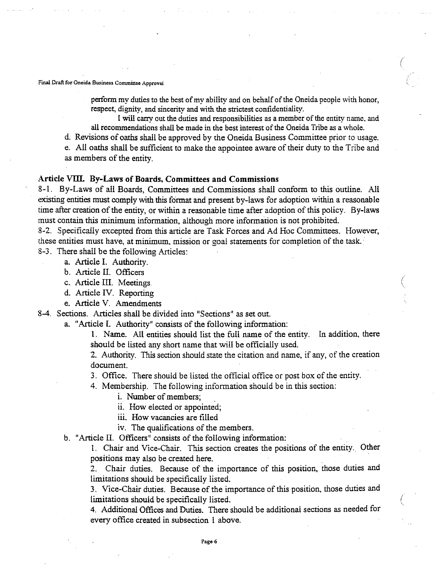perform my duties to the best of my ability and on behalf of the Oneida people with honor, respect, dignity, and sincerity and with the strictest confidentiality.

(

I will carry out the duties and responsibilities as a member of the entity name, and all recommendations shall be made in the best interest of the Oneida Tribe as a whole.

d. Revisions of oaths shall be approved by the Oneida Business Committee prior to usage.

e. All oaths shall be sufficient to make the appointee aware oftheir duty to the Tribe and as members of the entity.

#### Article **VITI. By-Laws of Boards. Committees and Commissions**

8-1. By-Laws of all Boards, Committees and Commissions shall conform to this outline. All existing entities must comply with this format and present by-laws for adoption within a reasonable time after creation of the entity, or within a reasonable time after adoption of this policy. By-laws must contain this minimum information, although more information is not prohibited.

8-2. Specifically excepted from this article are Task Forces and Ad Hoc Committees. However, these entities must have, at minimum, mission or goal statements for completion of the task.

8-3. There shall be the following Articles:

a. Article 1. Authority.

b. Article II. Officers

c. Article III. Meetings.

d. Article IV. Reporting

e. Article V. Amendments

8-4. Sections. Articles shall be divided into "Sections" as set out.

a. "Article 1. Authority" consists of the following information:

1. Name. All entities should list the full name of the entity. In addition, there should be listed any short name that will be officially used.

2. Authority. This section should state the citation and name, if any, of the creation document.

3. Office. There should be listed the official office or post box of the entity.

4. Membership. The following information should be in this section:

i. Number of members;

ii. How elected or appointed;

iii. How vacancies are filled

iv. The qualifications of the members.

b. "Article II. Officers" consists of the following information:

I. Chair and Vice-Chair. This section creates the positions of the entity. Other positions may also be created here. .

2. Chair duties. Because of the importance of this position, those duties and limitations should be specifically listed.

3. Vice-Chair duties. Because of the importance of this position, those duties and limitations should be specifically listed.

4. Additional Offices and Duties. There should be additional sections as needed for every office created in subsection I above.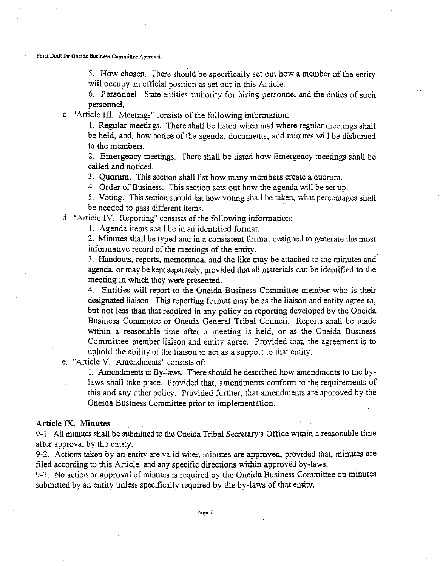S. How chosen. There should be specifically set out how a member of the entity will occupy an official position as set out in this Article.

6. Personnel. State entities authority for hiring personnel and the duties of such personnel.

c. "Article III. Meetings" consists of the following information:

1. Regular meetings. There shall be listed when and where regular meetings shall be held, and, how notice of the agenda, documents, and minutes will be disbursed to the members.

2. Emergency meetings. There shall be listed how Emergency meetings shall be called and noticed.

3. Quorum. This section shall list how many members create a quorum.

4. Order of Business. This section sets out how the agenda will be set up.

5. Voting. Thissection should list how voting shall be taken, what percentages shall be needed to pass different items.

d. "Article IV. Reporting" consists of the following information:

I. Agenda items shall be in an identified format

2. Minutes shall be typed and in a consistent format designed to generate the most informative record of the meetings of the entity.

3. Handouts, reports, memoranda, and the like may be attached to the minutes and agenda, or may be kept separately, provided that all materials can be identified to the meeting in which they were presented.

4. Entities will report to the Oneida Business Committee member who is their designated liaison. This reporting format may be as the liaison and entity agree to, but not less than that required in any policy on reporting developed by the Oneida Business Committee or Oneida General Tribal Council. Reports shall be made within a reasonable time after a meeting is held, or as the Oneida Business Committee member liaison and entity agree. Provided that, the agreement is to uphold the ability of the liaison to act as a support to that entity.

e. "Article V. Amendments" consists of:

1. Amendments to By-laws. There should be described how amendments to the bylaws shall take place. Provided that, amendments conform to the requirements of this and any other policy. Provided further, that amendments are approved by the . Oneida Business Committee prior to implementation.

#### Article IX. Minutes

9-1. All minutes shall be submitted to the Oneida Tribal Secretary's Office within a reasonable time after approval by the entity.

9-2. Actions taken by an entity are valid when minutes are approved, provided that, minutes are filed according to this Article, and any specific directions within approved by-laws.

9-3. No action or approval of minutes is required by the Oneida Business Committee on minutes submitted by an entity unless specifically required by the by-laws of that entity.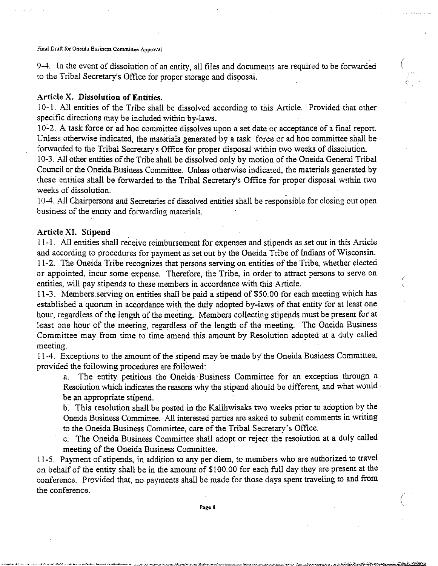9-4. In the event of dissolution of an entity, all files and documents are required to be forwarded ( to the Tribal Secretary's Office for proper storage and disposal.

## **Article X. Dissolution of Entities.**

10-1. All entities of the Tribe shall be dissolved according to this Article. Provided that other specific directions may be included within by-laws.

10-2. A task force or ad hoc committee dissolves upon a set date or acceptance of a final report. Unless otherwise indicated, the materials generated by a task force or ad hoc committee shall be forwarded to the Tribal Secretary's Office for proper disposal within two weeks of dissolution.

10-3. All other entities of the Tribe shall be dissolved only by motion of the Oneida General Tribal Council or the Oneida Business Committee. Unless otherwise indicated, the materials generated by these entities shall be forwarded to the Tribal Secretary's Office for proper disposal within two weeks of dissolution. .

10-4. All Chairpersons and Secretaries of dissolved entities shall be responsible for closing out open business of the entity and forwarding materials.

#### **Article XI. Stipend**

11-1. All entities shall receive reimbursement for expenses and stipends as set out in this Article and according to procedures for payment as set out by the Oneida Tribe of Indians of Wisconsin. 11-2. The Oneida Tribe recognizes that persons serving on entities ofthe Tribe, whether elected or appointed, incur some expense. Therefore, the Tribe, in order to attract persons to serve on entities, will pay stipends to these members in accordance with this Article.

 $\big($ 

 $\bigg($ 

11-3. Members.serving on entities shall be paid a stipend of \$50.00 for each meeting which has established a quorum in accordance with the duly adopted by-laws of that entity for at least one hour, regardless of the length of the meeting. Members collecting stipends must be present for at least one hour of the meeting, regardless of the length of the meeting. The Oneida Business Committee may from time to time amend this amount by Resolution adopted at a duly called meeting.

11-4. Exceptions to the amount of the stipend may be made by the Oneida Business Committee, provided the following procedures are followed:

a. The entity petitions the Oneida' Business Committee for an exception through a Resolution which indicates the reasons why the stipend should be different, and what would be an appropriate stipend.

b. This resolution shall be posted in the Kalihwisaks two weeks prior to adoption by the Oneida Business Committee. All interested parties are asked to submit comments in writing to the Oneida Business Committee, care of the Tribal Secretary's Office.

c. The Oneida Business Committee shall adopt or reject the resolution at a duly called meeting of the Oneida Business Committee.

11-5. Payment of stipends, in addition to any per diem, to members who are authorized to travel on behalf of the entity shall be in the amount of \$100.00 for each full day they are present at the conference. Provided that, no payments shall be made for those days spent traveling to and from the conference.

Page 8